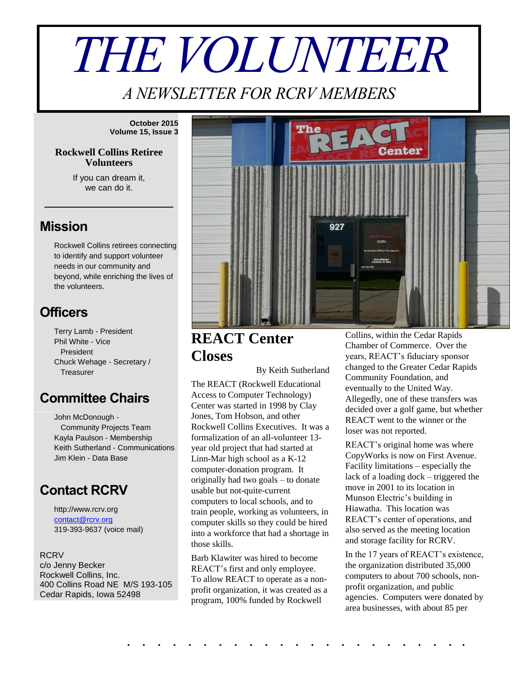# *THE VOLUNTEER*

*A NEWSLETTER FOR RCRV MEMBERS*

**October 2015 Volume 15, Issue 3**

#### **Rockwell Collins Retiree Volunteers**

If you can dream it, we can do it.

\_\_\_\_\_\_\_\_\_\_\_\_\_\_\_\_\_

### **Mission**

Rockwell Collins retirees connecting to identify and support volunteer needs in our community and beyond, while enriching the lives of the volunteers.

## **Officers**

Terry Lamb - President Phil White - Vice President Chuck Wehage - Secretary / **Treasurer** 

# **Committee Chairs**

John McDonough - Community Projects Team Kayla Paulson - Membership Keith Sutherland - Communications Jim Klein - Data Base

## **Contact RCRV**

http://www.rcrv.org [contact@rcrv.org](mailto:contact@rcrv.org) 319-393-9637 (voice mail)

**RCRV** c/o Jenny Becker Rockwell Collins, Inc. 400 Collins Road NE M/S 193-105 Cedar Rapids, Iowa 52498



**REACT Center Closes**

By Keith Sutherland

The REACT (Rockwell Educational Access to Computer Technology) Center was started in 1998 by Clay Jones, Tom Hobson, and other Rockwell Collins Executives. It was a formalization of an all-volunteer 13 year old project that had started at Linn-Mar high school as a K-12 computer-donation program. It originally had two goals – to donate usable but not-quite-current computers to local schools, and to train people, working as volunteers, in computer skills so they could be hired into a workforce that had a shortage in those skills.

Barb Klawiter was hired to become REACT's first and only employee. To allow REACT to operate as a nonprofit organization, it was created as a program, 100% funded by Rockwell

. . . . . . . . . . . . . . . . . . . . . . .

Collins, within the Cedar Rapids Chamber of Commerce. Over the years, REACT's fiduciary sponsor changed to the Greater Cedar Rapids Community Foundation, and eventually to the United Way. Allegedly, one of these transfers was decided over a golf game, but whether REACT went to the winner or the loser was not reported.

REACT's original home was where CopyWorks is now on First Avenue. Facility limitations – especially the lack of a loading dock – triggered the move in 2001 to its location in Munson Electric's building in Hiawatha. This location was REACT's center of operations, and also served as the meeting location and storage facility for RCRV.

In the 17 years of REACT's existence, the organization distributed 35,000 computers to about 700 schools, nonprofit organization, and public agencies. Computers were donated by area businesses, with about 85 per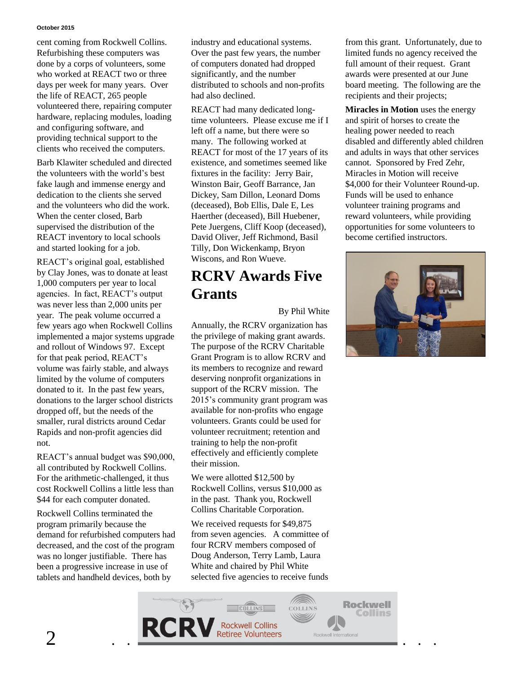#### **October 2015**

cent coming from Rockwell Collins. Refurbishing these computers was done by a corps of volunteers, some who worked at REACT two or three days per week for many years. Over the life of REACT, 265 people volunteered there, repairing computer hardware, replacing modules, loading and configuring software, and providing technical support to the clients who received the computers.

Barb Klawiter scheduled and directed the volunteers with the world's best fake laugh and immense energy and dedication to the clients she served and the volunteers who did the work. When the center closed, Barb supervised the distribution of the REACT inventory to local schools and started looking for a job.

REACT's original goal, established by Clay Jones, was to donate at least 1,000 computers per year to local agencies. In fact, REACT's output was never less than 2,000 units per year. The peak volume occurred a few years ago when Rockwell Collins implemented a major systems upgrade and rollout of Windows 97. Except for that peak period, REACT's volume was fairly stable, and always limited by the volume of computers donated to it. In the past few years, donations to the larger school districts dropped off, but the needs of the smaller, rural districts around Cedar Rapids and non-profit agencies did not.

REACT's annual budget was \$90,000, all contributed by Rockwell Collins. For the arithmetic-challenged, it thus cost Rockwell Collins a little less than \$44 for each computer donated.

Rockwell Collins terminated the program primarily because the demand for refurbished computers had decreased, and the cost of the program was no longer justifiable. There has been a progressive increase in use of tablets and handheld devices, both by

industry and educational systems. Over the past few years, the number of computers donated had dropped significantly, and the number distributed to schools and non-profits had also declined.

REACT had many dedicated longtime volunteers. Please excuse me if I left off a name, but there were so many. The following worked at REACT for most of the 17 years of its existence, and sometimes seemed like fixtures in the facility: Jerry Bair, Winston Bair, Geoff Barrance, Jan Dickey, Sam Dillon, Leonard Doms (deceased), Bob Ellis, Dale E, Les Haerther (deceased), Bill Huebener, Pete Juergens, Cliff Koop (deceased), David Oliver, Jeff Richmond, Basil Tilly, Don Wickenkamp, Bryon Wiscons, and Ron Wueve.

# **RCRV Awards Five Grants**

#### By Phil White

Annually, the RCRV organization has the privilege of making grant awards. The purpose of the RCRV Charitable Grant Program is to allow RCRV and its members to recognize and reward deserving nonprofit organizations in support of the RCRV mission. The 2015's community grant program was available for non-profits who engage volunteers. Grants could be used for volunteer recruitment; retention and training to help the non-profit effectively and efficiently complete their mission.

We were allotted \$12,500 by Rockwell Collins, versus \$10,000 as in the past. Thank you, Rockwell Collins Charitable Corporation.

We received requests for \$49,875 from seven agencies. A committee of four RCRV members composed of Doug Anderson, Terry Lamb, Laura White and chaired by Phil White selected five agencies to receive funds

COLLINS



**Miracles in Motion** uses the energy and spirit of horses to create the healing power needed to reach disabled and differently abled children and adults in ways that other services cannot. Sponsored by Fred Zehr, Miracles in Motion will receive \$4,000 for their Volunteer Round-up. Funds will be used to enhance volunteer training programs and reward volunteers, while providing opportunities for some volunteers to become certified instructors.



**Rockwell** 

**Collins**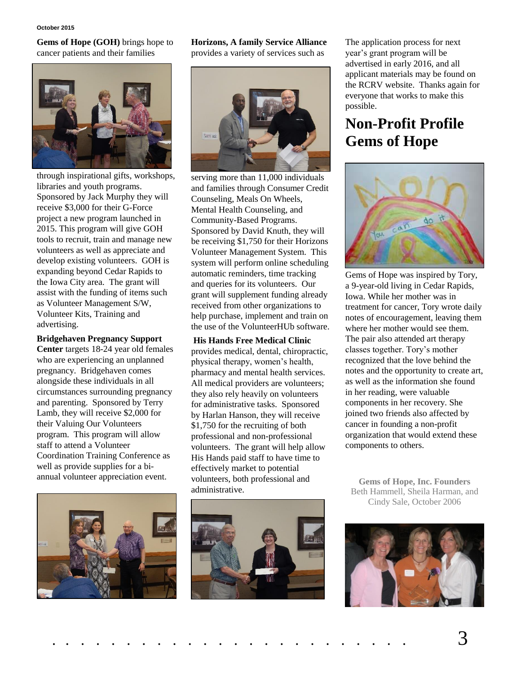**Gems of Hope (GOH)** brings hope to cancer patients and their families



through inspirational gifts, workshops, libraries and youth programs. Sponsored by Jack Murphy they will receive \$3,000 for their G-Force project a new program launched in 2015. This program will give GOH tools to recruit, train and manage new volunteers as well as appreciate and develop existing volunteers. GOH is expanding beyond Cedar Rapids to the Iowa City area. The grant will assist with the funding of items such as Volunteer Management S/W, Volunteer Kits, Training and advertising.

#### **Bridgehaven Pregnancy Support**

**Center** targets 18-24 year old females who are experiencing an unplanned pregnancy. Bridgehaven comes alongside these individuals in all circumstances surrounding pregnancy and parenting. Sponsored by Terry Lamb, they will receive \$2,000 for their Valuing Our Volunteers program. This program will allow staff to attend a Volunteer Coordination Training Conference as well as provide supplies for a biannual volunteer appreciation event.



**Horizons, A family Service Alliance** provides a variety of services such as



serving more than 11,000 individuals and families through Consumer Credit Counseling, Meals On Wheels, Mental Health Counseling, and Community-Based Programs. Sponsored by David Knuth, they will be receiving \$1,750 for their Horizons Volunteer Management System. This system will perform online scheduling automatic reminders, time tracking and queries for its volunteers. Our grant will supplement funding already received from other organizations to help purchase, implement and train on the use of the VolunteerHUb software.

**His Hands Free Medical Clinic** provides medical, dental, chiropractic, physical therapy, women's health, pharmacy and mental health services. All medical providers are volunteers; they also rely heavily on volunteers for administrative tasks. Sponsored by Harlan Hanson, they will receive \$1,750 for the recruiting of both professional and non-professional volunteers. The grant will help allow His Hands paid staff to have time to effectively market to potential volunteers, both professional and administrative.



The application process for next year's grant program will be advertised in early 2016, and all applicant materials may be found on the RCRV website. Thanks again for everyone that works to make this possible.

# **Non-Profit Profile Gems of Hope**



Gems of Hope was inspired by Tory, a 9-year-old living in Cedar Rapids, Iowa. While her mother was in treatment for cancer, Tory wrote daily notes of encouragement, leaving them where her mother would see them. The pair also attended art therapy classes together. Tory's mother recognized that the love behind the notes and the opportunity to create art, as well as the information she found in her reading, were valuable components in her recovery. She joined two friends also affected by cancer in founding a non-profit organization that would extend these components to others.

**Gems of Hope, Inc. Founders** Beth Hammell, Sheila Harman, and Cindy Sale, October 2006